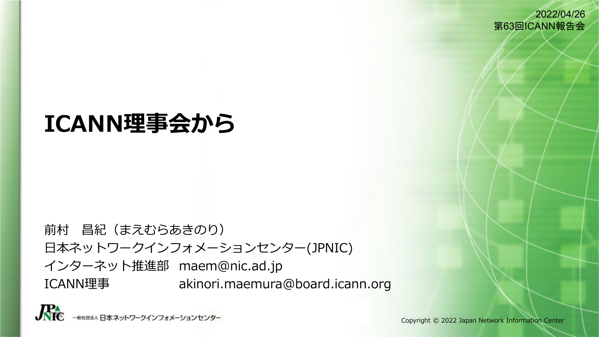2022/04/26 第63回ICANN報告会

# **ICANN理事会から**

前村 昌紀(まえむらあきのり) 日本ネットワークインフォメーションセンター(JPNIC) インターネット推進部 maem@nic.ad.jp ICANN理事 akinori.maemura@board.icann.org

 $\mathbf{\mathcal{R}}$ - 般社団法人 日本ネットワークインフォメーションセンター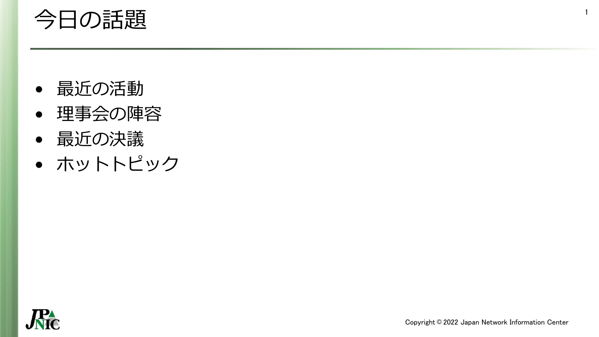# 今日の話題

- 最近の活動
- 理事会の陣容
- 最近の決議
- ホットトピック



1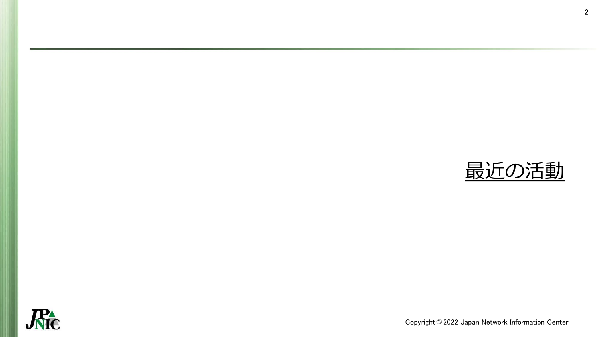

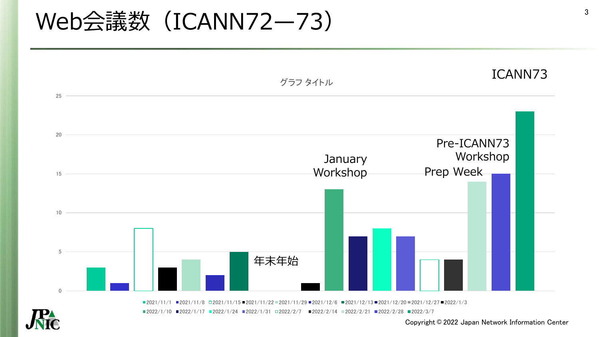# Web会議数 (ICANN72-73)







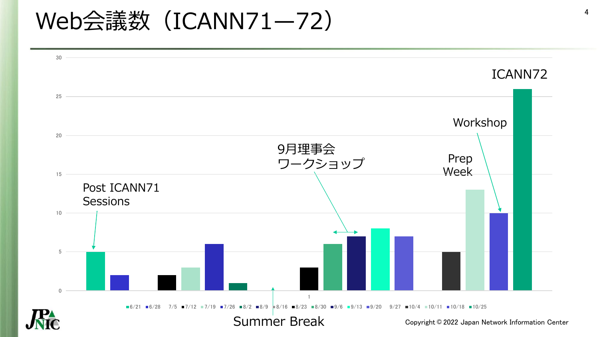# Web会議数 (ICANN71-72)

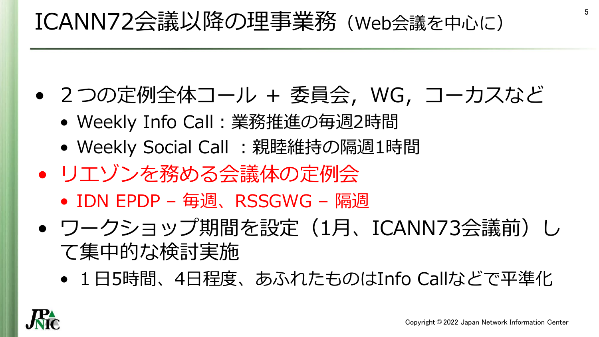# ICANN72会議以降の理事業務(Web会議を中心に)

- 2つの定例全体コール + 委員会,WG,コーカスなど
	- Weekly Info Call:業務推進の毎週2時間
	- Weekly Social Call :親睦維持の隔週1時間
- リエゾンを務める会議体の定例会
	- IDN EPDP 毎週、RSSGWG 隔週
- ワークショップ期間を設定(1月、ICANN73会議前)し て集中的な検討実施
	- 1日5時間、4日程度、あふれたものはInfo Callなどで平準化

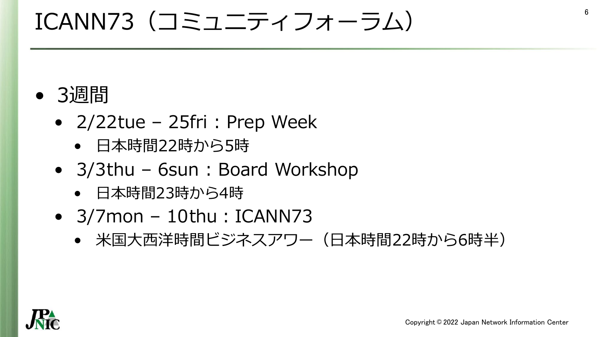# ICANN73(コミュニティフォーラム)

# • 3週間

- $2/22$ tue 25fri : Prep Week
	- 日本時間22時から5時
- 3/3thu 6sun : Board Workshop
	- 日本時間23時から4時
- $\bullet$  3/7 mon 10thu: ICANN 73
	- 米国大西洋時間ビジネスアワー(日本時間22時から6時半)



6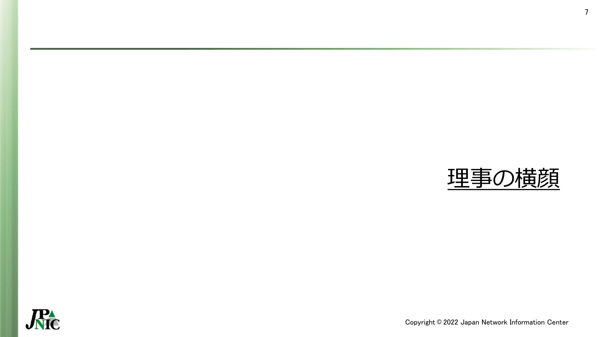

7

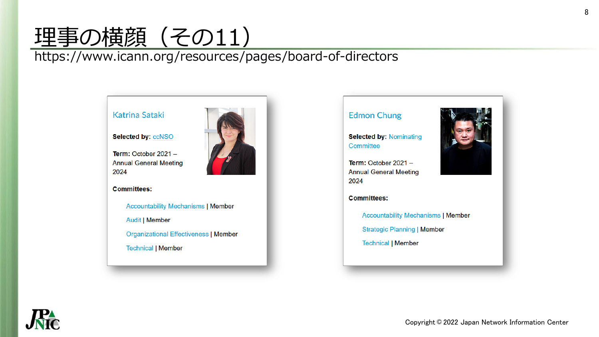# <u>埋事の横顔(その11)</u>

#### https://www.icann.org/resources/pages/board-of-directors

#### Katrina Sataki

#### Selected by: ccNSO

Term: October  $2021 -$ **Annual General Meeting** 2024

#### **Committees:**

**Accountability Mechanisms | Member Audit | Member** 

**Organizational Effectiveness | Member** 

**Technical | Member** 



#### **Edmon Chung**

**Selected by: Nominating** Committee

Term: October  $2021 -$ **Annual General Meeting** 2024



**Committees:** 

**Accountability Mechanisms | Member** 

**Strategic Planning | Member** 

**Technical | Member** 

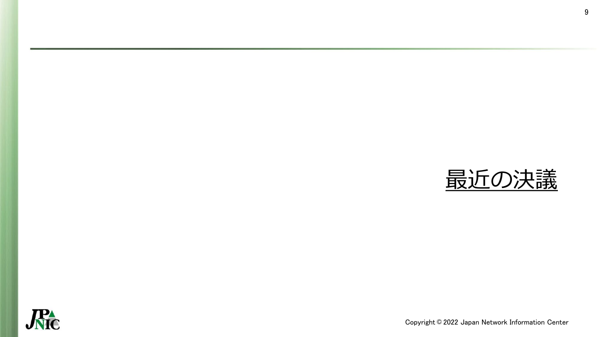

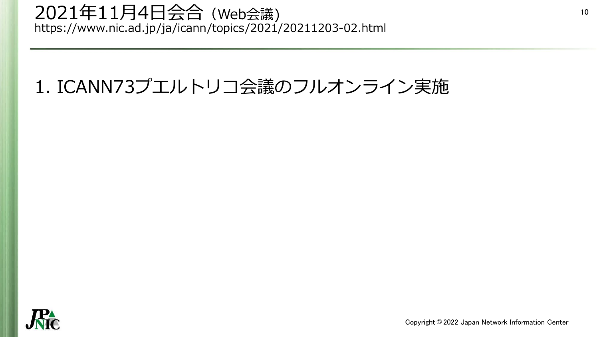### 2021年11月4日会合(Web会議) https://www.nic.ad.jp/ja/icann/topics/2021/20211203-02.html

# 1. ICANN73プエルトリコ会議のフルオンライン実施

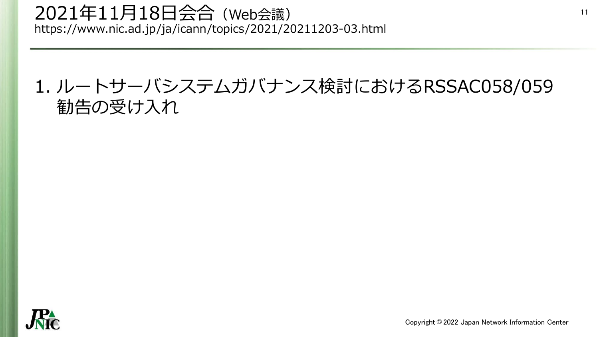### 2021年11月18日会合(Web会議) https://www.nic.ad.jp/ja/icann/topics/2021/20211203-03.html

## 1. ルートサーバシステムガバナンス検討におけるRSSAC058/059 勧告の受け入れ

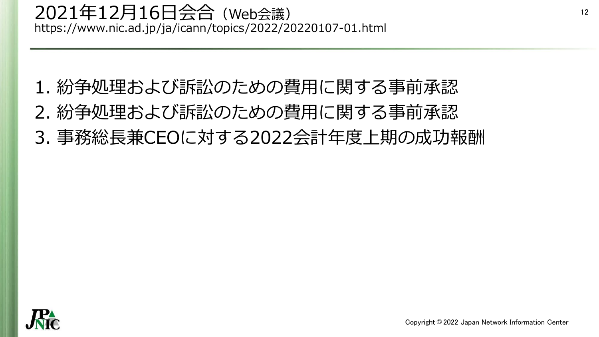- 1. 紛争処理および訴訟のための費用に関する事前承認 2. 紛争処理および訴訟のための費用に関する事前承認
- 3. 事務総長兼CEOに対する2022会計年度上期の成功報酬

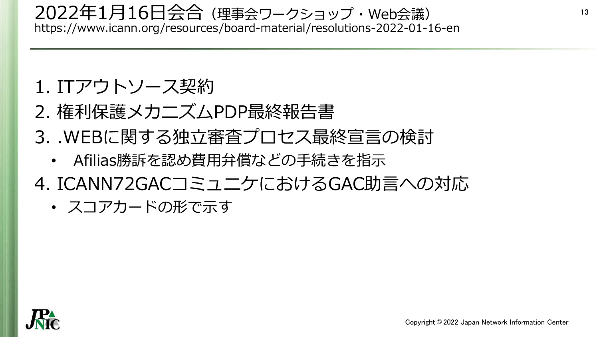### 2022年1月16日会合(理事会ワークショップ・Web会議) https://www.icann.org/resources/board-material/resolutions-2022-01-16-en

## 1. ITアウトソース契約

- 2. 権利保護メカニズムPDP最終報告書
- 3. .WEBに関する独立審査プロセス最終宣言の検討
	- Afilias勝訴を認め費用弁償などの手続きを指示
- 4. ICANN72GACコミュニケにおけるGAC助言への対応

• スコアカードの形で示す

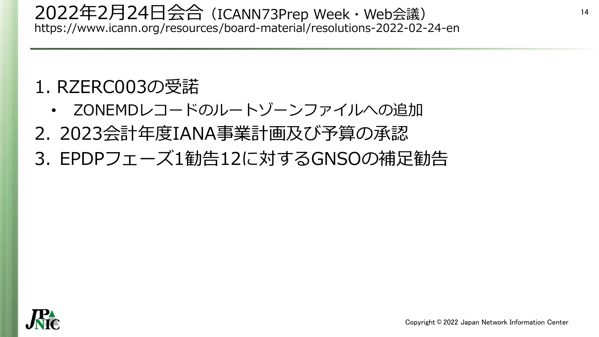### 2022年2月24日会合(ICANN73Prep Week・Web会議) https://www.icann.org/resources/board-material/resolutions-2022-02-24-en

# 1. RZERC003の受諾

- ZONEMDレコードのルートゾーンファイルへの追加
- 2. 2023会計年度IANA事業計画及び予算の承認
- 3. EPDPフェーズ1勧告12に対するGNSOの補足勧告

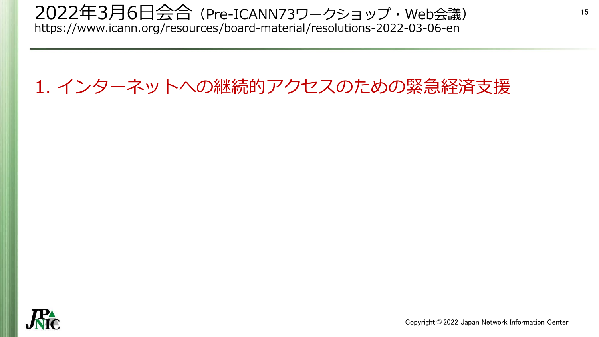### 2022年3月6日会合(Pre-ICANN73ワークショップ・Web会議) https://www.icann.org/resources/board-material/resolutions-2022-03-06-en

# 1. インターネットへの継続的アクセスのための緊急経済支援

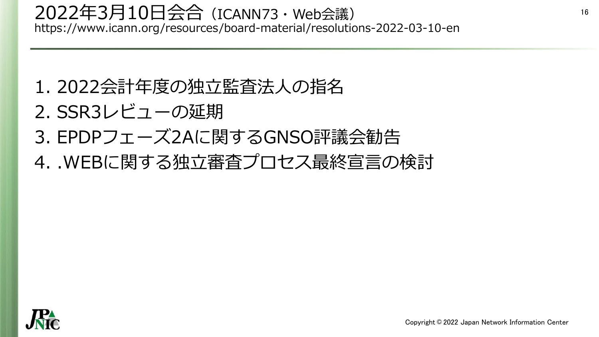- 1. 2022会計年度の独立監査法人の指名
- 2. SSR3レビューの延期
- 3. EPDPフェーズ2Aに関するGNSO評議会勧告
- 4. .WEBに関する独立審査プロセス最終宣言の検討

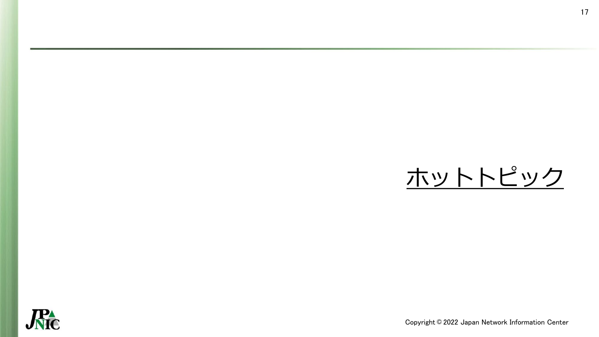

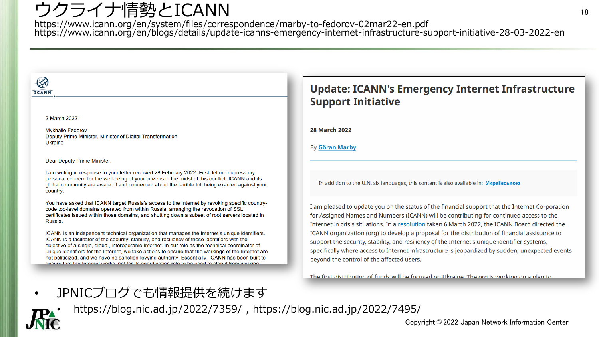## ウクライナ情勢とICANN

https://www.icann.org/en/system/files/correspondence/marby-to-fedorov-02mar22-en.pdf https://www.icann.org/en/blogs/details/update-icanns-emergency-internet-infrastructure-support-initiative-28-03-2022-en

#### $\bigotimes$ **ICANN**

2 March 2022

**Mykhailo Fedorov** Deputy Prime Minister, Minister of Digital Transformation Ukraine

Dear Deputy Prime Minister,

I am writing in response to your letter received 28 February 2022. First, let me express my personal concern for the well-being of your citizens in the midst of this conflict. ICANN and its global community are aware of and concerned about the terrible toll being exacted against your country.

You have asked that ICANN target Russia's access to the Internet by revoking specific countrycode top-level domains operated from within Russia, arranging the revocation of SSL certificates issued within those domains, and shutting down a subset of root servers located in Russia.

ICANN is an independent technical organization that manages the Internet's unique identifiers. ICANN is a facilitator of the security, stability, and resiliency of these identifiers with the objective of a single, global, interoperable Internet. In our role as the technical coordinator of unique identifiers for the Internet, we take actions to ensure that the workings of the Internet are not politicized, and we have no sanction-levying authority. Essentially, ICANN has been built to ensure that the Internet works, not for its coordination role to be used to stop it from working

#### **Update: ICANN's Emergency Internet Infrastructure Support Initiative**

**28 March 2022** 

By Göran Marby

In addition to the U.N. six languages, this content is also available in: Українською

I am pleased to update you on the status of the financial support that the Internet Corporation for Assigned Names and Numbers (ICANN) will be contributing for continued access to the Internet in crisis situations. In a resolution taken 6 March 2022, the ICANN Board directed the ICANN organization (org) to develop a proposal for the distribution of financial assistance to support the security, stability, and resiliency of the Internet's unique identifier systems, specifically where access to Internet infrastructure is jeopardized by sudden, unexpected events beyond the control of the affected users.

The first distribution of funds will be focused on Ukraine. The org is working on a plan to

• JPNICブログでも情報提供を続けます



• https://blog.nic.ad.jp/2022/7359/ , https://blog.nic.ad.jp/2022/7495/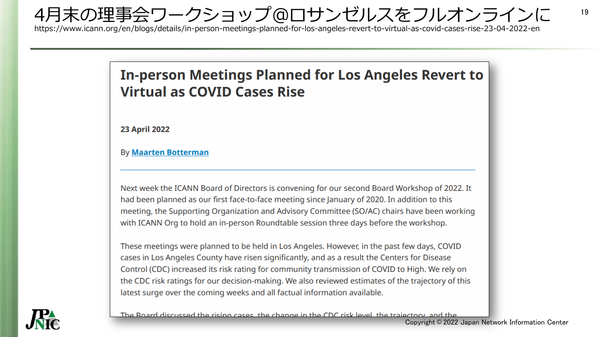4月末の理事会ワークショップ@ロサンゼルスをフルオンラインに

https://www.icann.org/en/blogs/details/in-person-meetings-planned-for-los-angeles-revert-to-virtual-as-covid-cases-rise-23-04-2022-en

### **In-person Meetings Planned for Los Angeles Revert to Virtual as COVID Cases Rise**

**23 April 2022** 

**By Maarten Botterman** 

Next week the ICANN Board of Directors is convening for our second Board Workshop of 2022. It had been planned as our first face-to-face meeting since January of 2020. In addition to this meeting, the Supporting Organization and Advisory Committee (SO/AC) chairs have been working with ICANN Org to hold an in-person Roundtable session three days before the workshop.

These meetings were planned to be held in Los Angeles. However, in the past few days, COVID cases in Los Angeles County have risen significantly, and as a result the Centers for Disease Control (CDC) increased its risk rating for community transmission of COVID to High. We rely on the CDC risk ratings for our decision-making. We also reviewed estimates of the trajectory of this latest surge over the coming weeks and all factual information available.



The Board discussed the rising cases, the change in the CDC risk level, the trajectory, and the

19